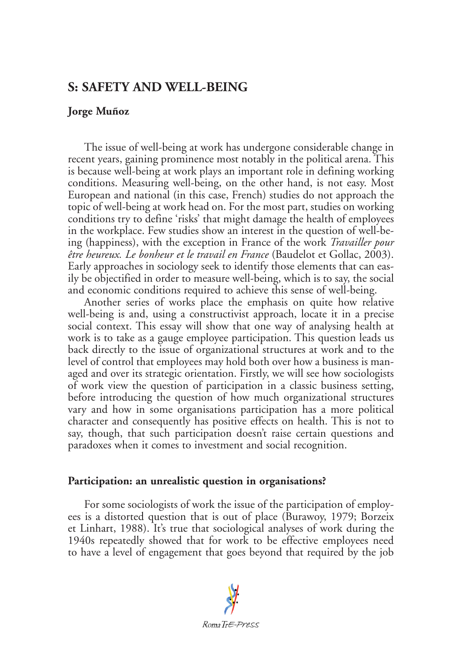# **S: SAFETY AND WELL-BEING**

## **Jorge Muñoz**

The issue of well-being at work has undergone considerable change in recent years, gaining prominence most notably in the political arena. This is because well-being at work plays an important role in defining working conditions. Measuring well-being, on the other hand, is not easy. Most European and national (in this case, French) studies do not approach the topic of well-being at work head on. For the most part, studies on working conditions try to define 'risks' that might damage the health of employees in the workplace. Few studies show an interest in the question of well-being (happiness), with the exception in France of the work *Travailler pour être heureux. Le bonheur et le travail en France* (Baudelot et Gollac, 2003). Early approaches in sociology seek to identify those elements that can easily be objectified in order to measure well-being, which is to say, the social and economic conditions required to achieve this sense of well-being.

Another series of works place the emphasis on quite how relative well-being is and, using a constructivist approach, locate it in a precise social context. This essay will show that one way of analysing health at work is to take as a gauge employee participation. This question leads us back directly to the issue of organizational structures at work and to the level of control that employees may hold both over how a business is managed and over its strategic orientation. Firstly, we will see how sociologists of work view the question of participation in a classic business setting, before introducing the question of how much organizational structures vary and how in some organisations participation has a more political character and consequently has positive effects on health. This is not to say, though, that such participation doesn't raise certain questions and paradoxes when it comes to investment and social recognition.

### **Participation: an unrealistic question in organisations?**

For some sociologists of work the issue of the participation of employees is a distorted question that is out of place (Burawoy, 1979; Borzeix et Linhart, 1988). It's true that sociological analyses of work during the 1940s repeatedly showed that for work to be effective employees need to have a level of engagement that goes beyond that required by the job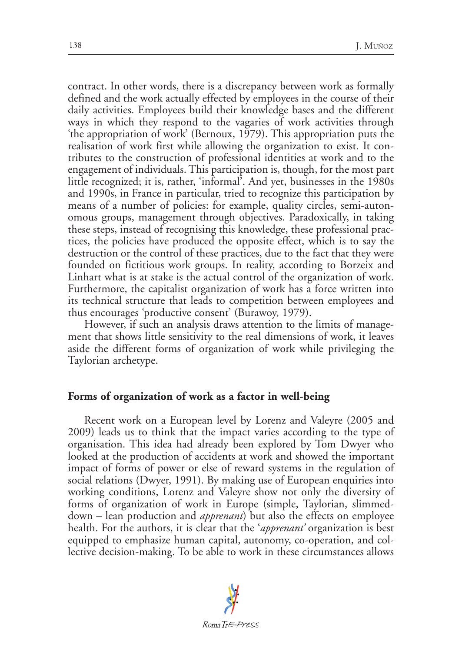contract. In other words, there is a discrepancy between work as formally defined and the work actually effected by employees in the course of their daily activities. Employees build their knowledge bases and the different ways in which they respond to the vagaries of work activities through 'the appropriation of work' (Bernoux, 1979). This appropriation puts the realisation of work first while allowing the organization to exist. It contributes to the construction of professional identities at work and to the engagement of individuals. This participation is, though, for the most part little recognized; it is, rather, 'informal'. And yet, businesses in the 1980s and 1990s, in France in particular, tried to recognize this participation by means of a number of policies: for example, quality circles, semi-autonomous groups, management through objectives. Paradoxically, in taking these steps, instead of recognising this knowledge, these professional practices, the policies have produced the opposite effect, which is to say the destruction or the control of these practices, due to the fact that they were founded on fictitious work groups. In reality, according to Borzeix and Linhart what is at stake is the actual control of the organization of work. Furthermore, the capitalist organization of work has a force written into its technical structure that leads to competition between employees and thus encourages 'productive consent' (Burawoy, 1979).

However, if such an analysis draws attention to the limits of management that shows little sensitivity to the real dimensions of work, it leaves aside the different forms of organization of work while privileging the Taylorian archetype.

#### **Forms of organization of work as a factor in well-being**

Recent work on a European level by Lorenz and Valeyre (2005 and 2009) leads us to think that the impact varies according to the type of organisation. This idea had already been explored by Tom Dwyer who looked at the production of accidents at work and showed the important impact of forms of power or else of reward systems in the regulation of social relations (Dwyer, 1991). By making use of European enquiries into working conditions, Lorenz and Valeyre show not only the diversity of forms of organization of work in Europe (simple, Taylorian, slimmeddown – lean production and *apprenant*) but also the effects on employee health. For the authors, it is clear that the '*apprenant'* organization is best equipped to emphasize human capital, autonomy, co-operation, and collective decision-making. To be able to work in these circumstances allows

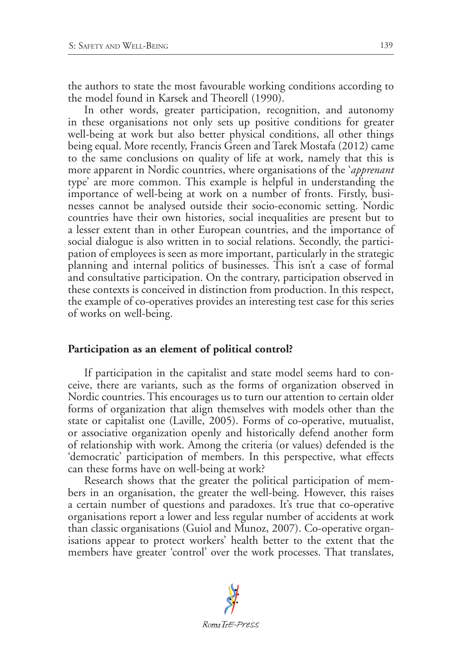the authors to state the most favourable working conditions according to the model found in Karsek and Theorell (1990).

In other words, greater participation, recognition, and autonomy in these organisations not only sets up positive conditions for greater well-being at work but also better physical conditions, all other things being equal. More recently, Francis Green and Tarek Mostafa (2012) came to the same conclusions on quality of life at work, namely that this is more apparent in Nordic countries, where organisations of the '*apprenant* type' are more common. This example is helpful in understanding the importance of well-being at work on a number of fronts. Firstly, businesses cannot be analysed outside their socio-economic setting. Nordic countries have their own histories, social inequalities are present but to a lesser extent than in other European countries, and the importance of social dialogue is also written in to social relations. Secondly, the participation of employees is seen as more important, particularly in the strategic planning and internal politics of businesses. This isn't a case of formal and consultative participation. On the contrary, participation observed in these contexts is conceived in distinction from production. In this respect, the example of co-operatives provides an interesting test case for this series of works on well-being.

# **Participation as an element of political control?**

If participation in the capitalist and state model seems hard to conceive, there are variants, such as the forms of organization observed in Nordic countries. This encourages us to turn our attention to certain older forms of organization that align themselves with models other than the state or capitalist one (Laville, 2005). Forms of co-operative, mutualist, or associative organization openly and historically defend another form of relationship with work. Among the criteria (or values) defended is the 'democratic' participation of members. In this perspective, what effects can these forms have on well-being at work?

Research shows that the greater the political participation of members in an organisation, the greater the well-being. However, this raises a certain number of questions and paradoxes. It's true that co-operative organisations report a lower and less regular number of accidents at work than classic organisations (Guiol and Munoz, 2007). Co-operative organisations appear to protect workers' health better to the extent that the members have greater 'control' over the work processes. That translates,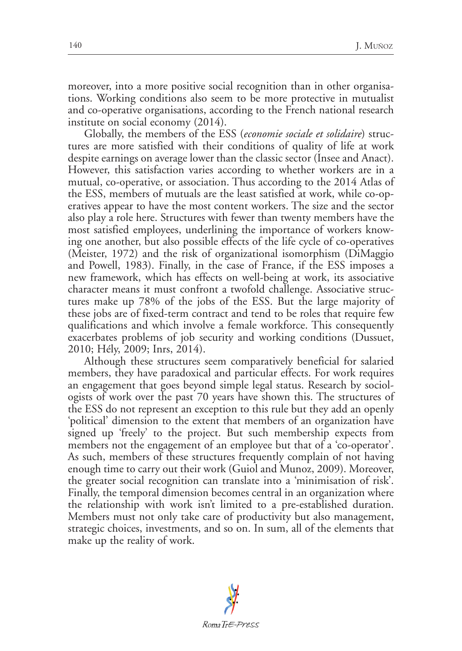moreover, into a more positive social recognition than in other organisations. Working conditions also seem to be more protective in mutualist and co-operative organisations, according to the French national research institute on social economy (2014).

Globally, the members of the ESS (*economie sociale et solidaire*) structures are more satisfied with their conditions of quality of life at work despite earnings on average lower than the classic sector (Insee and Anact). However, this satisfaction varies according to whether workers are in a mutual, co-operative, or association. Thus according to the 2014 Atlas of the ESS, members of mutuals are the least satisfied at work, while co-operatives appear to have the most content workers. The size and the sector also play a role here. Structures with fewer than twenty members have the most satisfied employees, underlining the importance of workers knowing one another, but also possible effects of the life cycle of co-operatives (Meister, 1972) and the risk of organizational isomorphism (DiMaggio and Powell, 1983). Finally, in the case of France, if the ESS imposes a new framework, which has effects on well-being at work, its associative character means it must confront a twofold challenge. Associative structures make up 78% of the jobs of the ESS. But the large majority of these jobs are of fixed-term contract and tend to be roles that require few qualifications and which involve a female workforce. This consequently exacerbates problems of job security and working conditions (Dussuet, 2010; Hély, 2009; Inrs, 2014).

Although these structures seem comparatively beneficial for salaried members, they have paradoxical and particular effects. For work requires an engagement that goes beyond simple legal status. Research by sociologists of work over the past 70 years have shown this. The structures of the ESS do not represent an exception to this rule but they add an openly 'political' dimension to the extent that members of an organization have signed up 'freely' to the project. But such membership expects from members not the engagement of an employee but that of a 'co-operator'. As such, members of these structures frequently complain of not having enough time to carry out their work (Guiol and Munoz, 2009). Moreover, the greater social recognition can translate into a 'minimisation of risk'. Finally, the temporal dimension becomes central in an organization where the relationship with work isn't limited to a pre-established duration. Members must not only take care of productivity but also management, strategic choices, investments, and so on. In sum, all of the elements that make up the reality of work.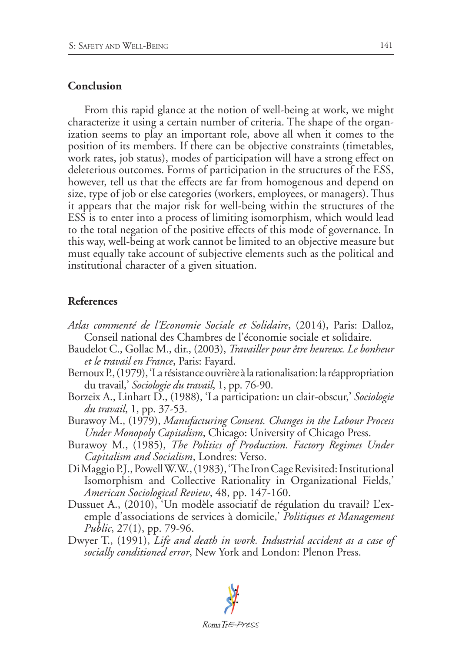#### **Conclusion**

From this rapid glance at the notion of well-being at work, we might characterize it using a certain number of criteria. The shape of the organization seems to play an important role, above all when it comes to the position of its members. If there can be objective constraints (timetables, work rates, job status), modes of participation will have a strong effect on deleterious outcomes. Forms of participation in the structures of the ESS, however, tell us that the effects are far from homogenous and depend on size, type of job or else categories (workers, employees, or managers). Thus it appears that the major risk for well-being within the structures of the ESS is to enter into a process of limiting isomorphism, which would lead to the total negation of the positive effects of this mode of governance. In this way, well-being at work cannot be limited to an objective measure but must equally take account of subjective elements such as the political and institutional character of a given situation.

### **References**

- *Atlas commenté de l'Economie Sociale et Solidaire*, (2014), Paris: Dalloz, Conseil national des Chambres de l'économie sociale et solidaire.
- Baudelot C., Gollac M., dir., (2003), *Travailler pour être heureux. Le bonheur et le travail en France*, Paris: Fayard.
- Bernoux P., (1979), 'La résistance ouvrière à la rationalisation: la réappropriation du travail,' *Sociologie du travail*, 1, pp. 76-90.
- Borzeix A., Linhart D., (1988), 'La participation: un clair-obscur,' *Sociologie du travail*, 1, pp. 37-53.
- Burawoy M., (1979), *Manufacturing Consent. Changes in the Labour Process Under Monopoly Capitalism*, Chicago: University of Chicago Press.
- Burawoy M., (1985), *The Politics of Production. Factory Regimes Under Capitalism and Socialism*, Londres: Verso.
- Di Maggio P.J., Powell W.W., (1983), 'The Iron Cage Revisited: Institutional Isomorphism and Collective Rationality in Organizational Fields,' *American Sociological Review*, 48, pp. 147-160.
- Dussuet A., (2010), 'Un modèle associatif de régulation du travail? L'exemple d'associations de services à domicile,' *Politiques et Management Public*, 27(1), pp. 79-96.
- Dwyer T., (1991), *Life and death in work. Industrial accident as a case of socially conditioned error*, New York and London: Plenon Press.